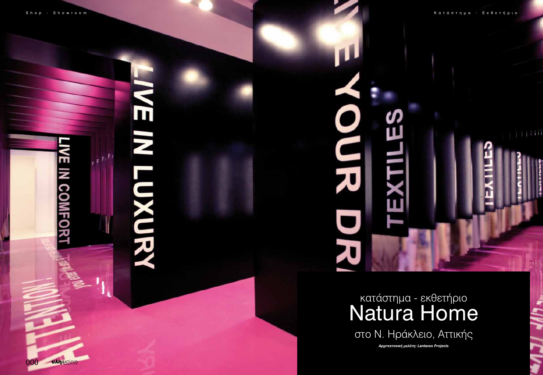m

**IN COMF** 

000 **UAn&KTIPIO** 

# NE IN LANDRY



# κατάστημα - εκθετήριο στο Ν. Ηράκλειο, Αττικής Natura Home

*Aρχιτεκτονική μελέτη: Lantavos Projects*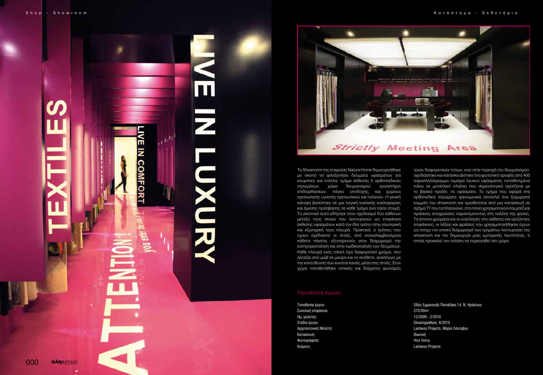



To Showroom της εταιρείας Natura Home δημιουργήθηκε με σκοπό να φιλοξενήσει δείγματα υφασμάτων για κουρτίνες και επίπλα, τμήμα έκθεσης 5 ορθοπαιδικών στρωμάτων, χώρο δειγματισμού, εργαστήριο επιδιορθώσεων, πάγκο υποδοχής, και χώρους προσωπικής υγιεινής προσωπικού και πελατών. Η γενική κάτοψη βασίστηκε σε μια λογική κυκλικής κυκλοφορίας και άμεσης πρόσβασης σε κάθε τμήμα ανα πάσα στιγμή. Το σκεπτικό αυτό οδήγησε στον σχεδιασμό δύο κάθετων μεταξύ τους στοών που λειτουργούν ως επιφάνεια έκθεσης υφασμάτων κατά τον ίδιο τρόπο στην εσωτερική και εξωτερική τους πλευρά. Πρακτικά, ο τρόπος που έχουν σχεδιαστεί οι στοές, από επαναλαμβανόμενα κάθετα πάνελα, εξυπηρετούν στον διαχωρισμό την κατηγοριοποίηση και στην κωδικοποίηση των δειγμάτων. Κάθε πλευρά ενός πάνελ έχει διαφορετικό χρώμα, που αλλάζει από μώβ σε μαύρο και το αντίθετο, αναλόγως με την κατεύθυνση που κινείται κανείς μέσα στις στοές. Στον χώρο τοποθετήθηκε τοπικός και διάχειτος φωτισμός

### Ταυτότητα έργου

Τοποθεσία έργου: Οδός Εμμανουήλ Παπαδάκη 14, Ν. Ηράκλειο Στάδιο έργου: Ολοκληρώθηκε, 8/2010 Αρχιτεκτονική Μελέτη: Lantavos Projects, Μαρία Λάνταβου

Συνολική επιφάνεια: 270.00m2 Ημ. μελέτης: 12/2009 - 2/2010 Κατασκευή: Iδιωτική Φωτογράφιση: Vice Versa Κείμενο: Lantavos Projects

τριών διαφορετικών τύπων, ενώ στην περιοχή του δειγματισμού, σχεδιάστηκε και κατασκευάστηκε ένα φωτιστικό οροφής από 400 παραλληλόγραμμα τεμάχια λευκού υφάσματος τοποθετημένα πάνω σε μεταλλικό πλαίσιο που σημειολογικά σχετίζεται με το βασικό προϊόν, τα υφάσματα. Το τμήμα που αφορά στα ορθοπεδικά στρώματα φαινομενικά αποτελεί ένα ξεχωριστό κομμάτι του showroom και οριοθετείται από μια κατασκευή σε σχήμα 'Π' που τα πλαισιώνει, στο οποίο χρησιμοποιούνται μπέζ και πράσινες αποχρώσεις παραπέμποντας στη παλέτα της φύσης. Τα έντονα χρώματα και οι εναλλαγές στις κάθετες και οριζόντιες επιφάνειες, οι λέξεις και φράσεις που χρησιμοποιήθηκαν έχουν ως στόχο τον οπτικό διαχωρισμό των τμημάτων λειτουργίας του showroom και την δημιουργία μιας εμπορικής ταυτότητας, η οποία προκαλεί τον πελάτη να περιηγηθεί στο χώρο.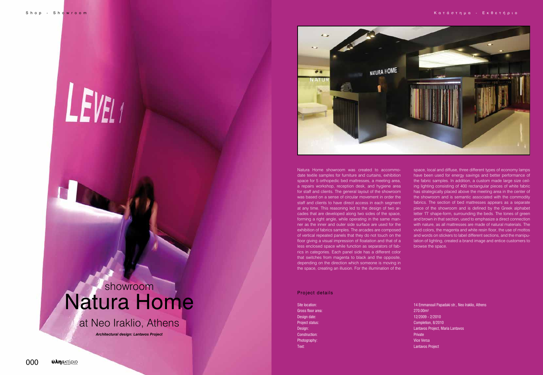# LEVEL<sub>1</sub>

# at Neo Iraklio, Athens

# showroom Natura Home

*Architectural design: Lantavos Project*



Project details

Site location: 14 Emmanouil Papadaki str., Neo Iraklio, Athens Project status: Completion, 8/2010 Design: Lantavos Project, Maria Lantavos

Gross floor area: 270.00m2 Design date: 12/2009 - 2/2010 Construction: Private According to the Construction: Private According to the Private According to the Private Photography: Vice Versa and the Contract of the Contract of the Contract of the Versa and the Versa and the Versa and the Versa and the Versa and the Versa and the Versa and the Versa and the Versa and the Versa and the Ve Text: Lantavos Project

Natura Home showroom was created to accommodate textile samples for furniture and curtains, exhibition space for 5 orthopedic bed mattresses, a meeting area, a repairs workshop, reception desk, and hygiene area for staff and clients. The general layout of the showroom was based on a sense of circular movement in order the staff and clients to have direct access in each segment at any time. This reasoning led to the design of two arcades that are developed along two sides of the space, forming a right angle, while operating in the same manner as the inner and outer side surface are used for the exhibition of fabrics samples. The arcades are composed of vertical repeated panels that they do not touch on the floor giving a visual impression of floatation and that of a less enclosed space while function as separators of fabrics in categories. Each panel side has a different color that switches from magenta to black and the opposite, depending on the direction which someone is moving in the space, creating an illusion. For the illumination of the

space, local and diffuse, three different types of economy lamps have been used for energy savings and better performance of the fabric samples. In addition, a custom made large size ceiling lighting consisting of 400 rectangular pieces of white fabric has strategically placed above the meeting area in the center of the showroom and is semantic associated with the commodity fabrics. The section of bed mattresses appears as a separate piece of the showroom and is defined by the Greek alphabet letter 'Π' shape-form, surrounding the beds. The tones of green and brown in that section, used to emphasize a direct connection with nature, as all mattresses are made of natural materials. The vivid colors, the magenta and white resin floor, the use of mottos and words on stickers to label different sections, and the manipulation of lighting, created a brand image and entice customers to browse the space.